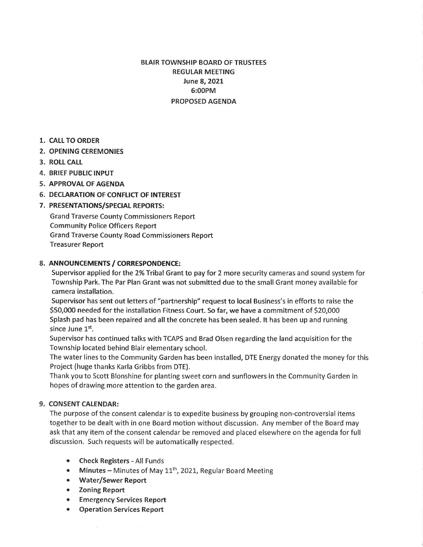# BLAIR TOWNSHIP BOARD OF TRUSTEES REGULAR MEETING June 8, 2021 6:00PM PROPOSED AGENDA

- **1. CALL TO ORDER**
- **2. OPENING CEREMONIES**
- **3. ROLL CALL**
- **4. BRIEF PUBLIC INPUT**
- **5. APPROVALOFAGENDA**
- **6. DECLARATION OF CONFLICT OF INTEREST**

## **7. PRESENTATIONS/SPECIAL REPORTS:**

Grand Traverse County Commissioners Report Community Police Officers Report Grand Traverse County Road Commissioners Report Treasurer Report

### **8. ANNOUNCEMENTS/ CORRESPONDENCE:**

Supervisor applied for the 2% Tribal Grant to pay for 2 more security cameras and sound system for Township Park. The Par Plan Grant was not submitted due to the small Grant money available for camera installation.

Supervisor has sent out letters of "partnership" request to local Business's in efforts to raise the \$50,000 needed for the installation Fitness Court. So far, we have a commitment of \$20,000 Splash pad has been repaired and all the concrete has been sealed. It has been up and running since June 1<sup>st</sup>.

Supervisor has continued talks with TCAPS and Brad Olsen regarding the land acquisition for the Township located behind Blair elementary school.

The water lines to the Community Garden has been installed, DTE Energy donated the money for this Project (huge thanks Karla Gribbs from DTE).

Thank you to Scott Blonshine for planting sweet corn and sunflowers in the Community Garden in hopes of drawing more attention to the garden area.

### **9. CONSENT CALENDAR:**

The purpose of the consent calendar is to expedite business by grouping non-controversial items together to be dealt with in one Board motion without discussion. Any member of the Board may ask that any item of the consent calendar be removed and placed elsewhere on the agenda for full discussion. Such requests will be automatically respected.

- **Check Registers**  All Funds
- Minutes Minutes of May 11<sup>th</sup>, 2021, Regular Board Meeting
- **Water/Sewer Report**
- **Zoning Report**
- **Emergency Services Report**
- **Operation Services Report**